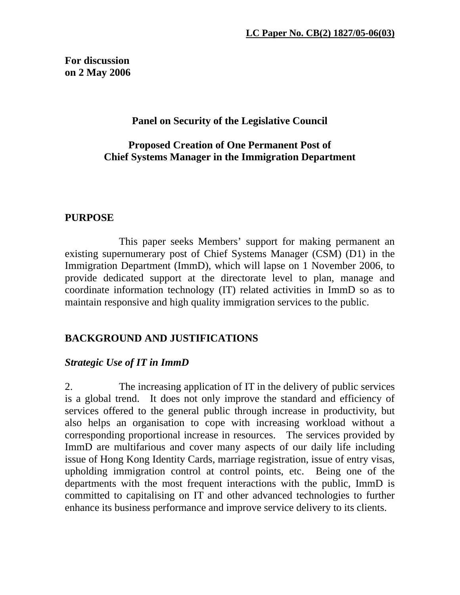**For discussion on 2 May 2006** 

## **Panel on Security of the Legislative Council**

## **Proposed Creation of One Permanent Post of Chief Systems Manager in the Immigration Department**

## **PURPOSE**

 This paper seeks Members' support for making permanent an existing supernumerary post of Chief Systems Manager (CSM) (D1) in the Immigration Department (ImmD), which will lapse on 1 November 2006, to provide dedicated support at the directorate level to plan, manage and coordinate information technology (IT) related activities in ImmD so as to maintain responsive and high quality immigration services to the public.

## **BACKGROUND AND JUSTIFICATIONS**

## *Strategic Use of IT in ImmD*

2. The increasing application of IT in the delivery of public services is a global trend. It does not only improve the standard and efficiency of services offered to the general public through increase in productivity, but also helps an organisation to cope with increasing workload without a corresponding proportional increase in resources. The services provided by ImmD are multifarious and cover many aspects of our daily life including issue of Hong Kong Identity Cards, marriage registration, issue of entry visas, upholding immigration control at control points, etc. Being one of the departments with the most frequent interactions with the public, ImmD is committed to capitalising on IT and other advanced technologies to further enhance its business performance and improve service delivery to its clients.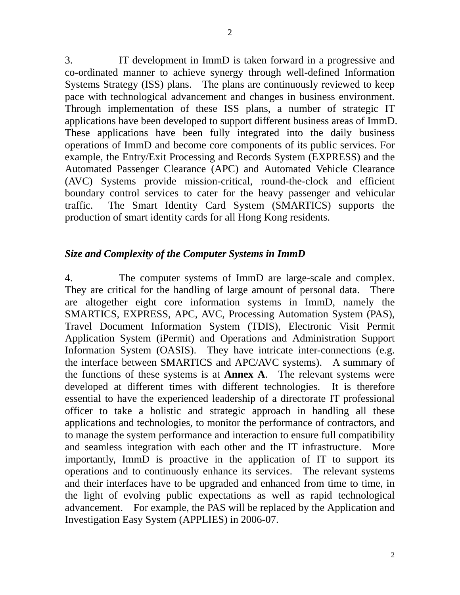3. IT development in ImmD is taken forward in a progressive and co-ordinated manner to achieve synergy through well-defined Information Systems Strategy (ISS) plans. The plans are continuously reviewed to keep pace with technological advancement and changes in business environment. Through implementation of these ISS plans, a number of strategic IT applications have been developed to support different business areas of ImmD. These applications have been fully integrated into the daily business operations of ImmD and become core components of its public services. For example, the Entry/Exit Processing and Records System (EXPRESS) and the Automated Passenger Clearance (APC) and Automated Vehicle Clearance (AVC) Systems provide mission-critical, round-the-clock and efficient boundary control services to cater for the heavy passenger and vehicular traffic. The Smart Identity Card System (SMARTICS) supports the production of smart identity cards for all Hong Kong residents.

### *Size and Complexity of the Computer Systems in ImmD*

4. The computer systems of ImmD are large-scale and complex. They are critical for the handling of large amount of personal data. There are altogether eight core information systems in ImmD, namely the SMARTICS, EXPRESS, APC, AVC, Processing Automation System (PAS), Travel Document Information System (TDIS), Electronic Visit Permit Application System (iPermit) and Operations and Administration Support Information System (OASIS). They have intricate inter-connections (e.g. the interface between SMARTICS and APC/AVC systems). A summary of the functions of these systems is at **Annex A**. The relevant systems were developed at different times with different technologies. It is therefore essential to have the experienced leadership of a directorate IT professional officer to take a holistic and strategic approach in handling all these applications and technologies, to monitor the performance of contractors, and to manage the system performance and interaction to ensure full compatibility and seamless integration with each other and the IT infrastructure. More importantly, ImmD is proactive in the application of IT to support its operations and to continuously enhance its services. The relevant systems and their interfaces have to be upgraded and enhanced from time to time, in the light of evolving public expectations as well as rapid technological advancement. For example, the PAS will be replaced by the Application and Investigation Easy System (APPLIES) in 2006-07.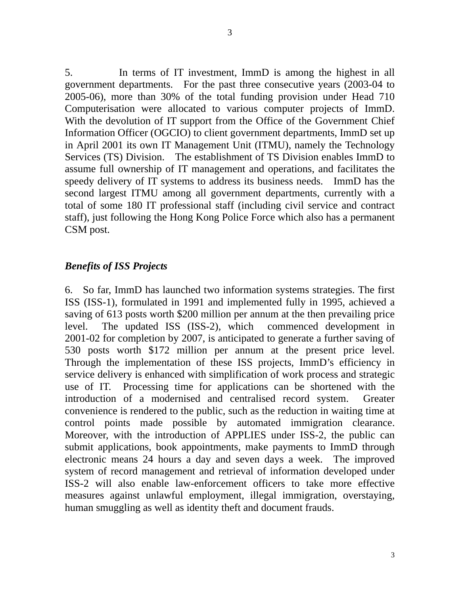5. In terms of IT investment, ImmD is among the highest in all government departments. For the past three consecutive years (2003-04 to 2005-06), more than 30% of the total funding provision under Head 710 Computerisation were allocated to various computer projects of ImmD. With the devolution of IT support from the Office of the Government Chief Information Officer (OGCIO) to client government departments, ImmD set up in April 2001 its own IT Management Unit (ITMU), namely the Technology Services (TS) Division. The establishment of TS Division enables ImmD to assume full ownership of IT management and operations, and facilitates the speedy delivery of IT systems to address its business needs. ImmD has the second largest ITMU among all government departments, currently with a total of some 180 IT professional staff (including civil service and contract staff), just following the Hong Kong Police Force which also has a permanent CSM post.

## *Benefits of ISS Projects*

6. So far, ImmD has launched two information systems strategies. The first ISS (ISS-1), formulated in 1991 and implemented fully in 1995, achieved a saving of 613 posts worth \$200 million per annum at the then prevailing price level. The updated ISS (ISS-2), which commenced development in 2001-02 for completion by 2007, is anticipated to generate a further saving of 530 posts worth \$172 million per annum at the present price level. Through the implementation of these ISS projects, ImmD's efficiency in service delivery is enhanced with simplification of work process and strategic use of IT. Processing time for applications can be shortened with the introduction of a modernised and centralised record system. Greater convenience is rendered to the public, such as the reduction in waiting time at control points made possible by automated immigration clearance. Moreover, with the introduction of APPLIES under ISS-2, the public can submit applications, book appointments, make payments to ImmD through electronic means 24 hours a day and seven days a week. The improved system of record management and retrieval of information developed under ISS-2 will also enable law-enforcement officers to take more effective measures against unlawful employment, illegal immigration, overstaying, human smuggling as well as identity theft and document frauds.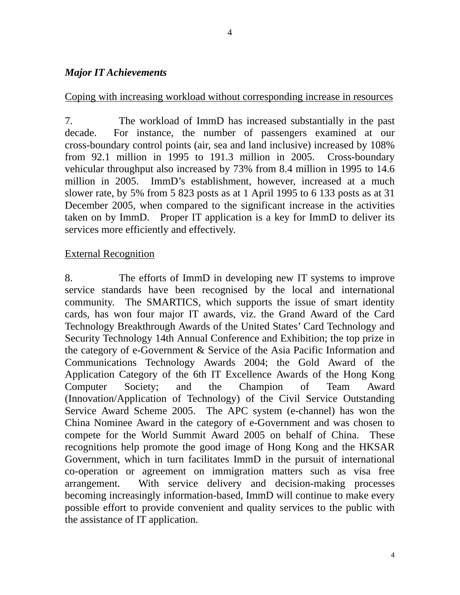## *Major IT Achievements*

## Coping with increasing workload without corresponding increase in resources

7. The workload of ImmD has increased substantially in the past decade. For instance, the number of passengers examined at our cross-boundary control points (air, sea and land inclusive) increased by 108% from 92.1 million in 1995 to 191.3 million in 2005. Cross-boundary vehicular throughput also increased by 73% from 8.4 million in 1995 to 14.6 million in 2005. ImmD's establishment, however, increased at a much slower rate, by 5% from 5 823 posts as at 1 April 1995 to 6 133 posts as at 31 December 2005, when compared to the significant increase in the activities taken on by ImmD. Proper IT application is a key for ImmD to deliver its services more efficiently and effectively.

## External Recognition

8. The efforts of ImmD in developing new IT systems to improve service standards have been recognised by the local and international community. The SMARTICS, which supports the issue of smart identity cards, has won four major IT awards, viz. the Grand Award of the Card Technology Breakthrough Awards of the United States' Card Technology and Security Technology 14th Annual Conference and Exhibition; the top prize in the category of e-Government & Service of the Asia Pacific Information and Communications Technology Awards 2004; the Gold Award of the Application Category of the 6th IT Excellence Awards of the Hong Kong Computer Society; and the Champion of Team Award (Innovation/Application of Technology) of the Civil Service Outstanding Service Award Scheme 2005. The APC system (e-channel) has won the China Nominee Award in the category of e-Government and was chosen to compete for the World Summit Award 2005 on behalf of China. These recognitions help promote the good image of Hong Kong and the HKSAR Government, which in turn facilitates ImmD in the pursuit of international co-operation or agreement on immigration matters such as visa free arrangement. With service delivery and decision-making processes becoming increasingly information-based, ImmD will continue to make every possible effort to provide convenient and quality services to the public with the assistance of IT application.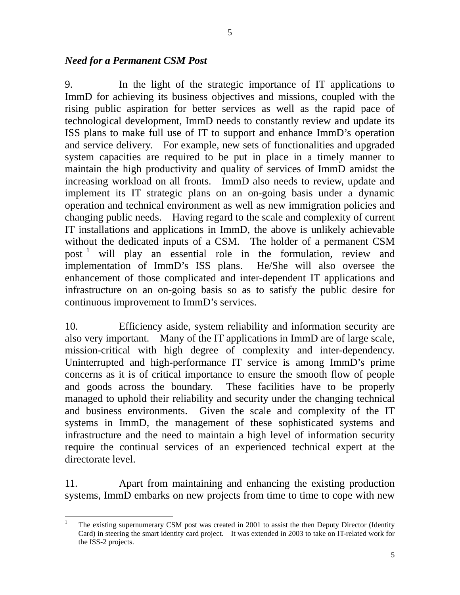5

#### *Need for a Permanent CSM Post*

 $\overline{a}$ 

9. In the light of the strategic importance of IT applications to ImmD for achieving its business objectives and missions, coupled with the rising public aspiration for better services as well as the rapid pace of technological development, ImmD needs to constantly review and update its ISS plans to make full use of IT to support and enhance ImmD's operation and service delivery. For example, new sets of functionalities and upgraded system capacities are required to be put in place in a timely manner to maintain the high productivity and quality of services of ImmD amidst the increasing workload on all fronts. ImmD also needs to review, update and implement its IT strategic plans on an on-going basis under a dynamic operation and technical environment as well as new immigration policies and changing public needs. Having regard to the scale and complexity of current IT installations and applications in ImmD, the above is unlikely achievable without the dedicated inputs of a CSM. The holder of a permanent CSM post 1 will play an essential role in the formulation, review and implementation of ImmD's ISS plans. He/She will also oversee the enhancement of those complicated and inter-dependent IT applications and infrastructure on an on-going basis so as to satisfy the public desire for continuous improvement to ImmD's services.

10. Efficiency aside, system reliability and information security are also very important. Many of the IT applications in ImmD are of large scale, mission-critical with high degree of complexity and inter-dependency. Uninterrupted and high-performance IT service is among ImmD's prime concerns as it is of critical importance to ensure the smooth flow of people and goods across the boundary. These facilities have to be properly managed to uphold their reliability and security under the changing technical and business environments. Given the scale and complexity of the IT systems in ImmD, the management of these sophisticated systems and infrastructure and the need to maintain a high level of information security require the continual services of an experienced technical expert at the directorate level.

11. Apart from maintaining and enhancing the existing production systems, ImmD embarks on new projects from time to time to cope with new

<sup>1</sup> The existing supernumerary CSM post was created in 2001 to assist the then Deputy Director (Identity Card) in steering the smart identity card project. It was extended in 2003 to take on IT-related work for the ISS-2 projects.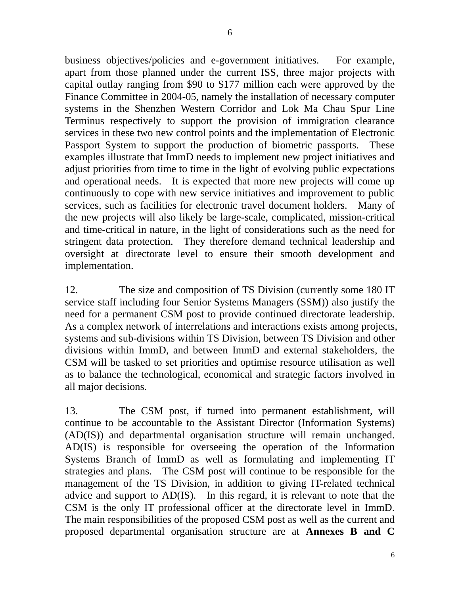business objectives/policies and e-government initiatives. For example, apart from those planned under the current ISS, three major projects with capital outlay ranging from \$90 to \$177 million each were approved by the Finance Committee in 2004-05, namely the installation of necessary computer systems in the Shenzhen Western Corridor and Lok Ma Chau Spur Line Terminus respectively to support the provision of immigration clearance services in these two new control points and the implementation of Electronic Passport System to support the production of biometric passports. These examples illustrate that ImmD needs to implement new project initiatives and adjust priorities from time to time in the light of evolving public expectations and operational needs. It is expected that more new projects will come up continuously to cope with new service initiatives and improvement to public services, such as facilities for electronic travel document holders. Many of the new projects will also likely be large-scale, complicated, mission-critical and time-critical in nature, in the light of considerations such as the need for stringent data protection. They therefore demand technical leadership and oversight at directorate level to ensure their smooth development and implementation.

12. The size and composition of TS Division (currently some 180 IT service staff including four Senior Systems Managers (SSM)) also justify the need for a permanent CSM post to provide continued directorate leadership. As a complex network of interrelations and interactions exists among projects, systems and sub-divisions within TS Division, between TS Division and other divisions within ImmD, and between ImmD and external stakeholders, the CSM will be tasked to set priorities and optimise resource utilisation as well as to balance the technological, economical and strategic factors involved in all major decisions.

13. The CSM post, if turned into permanent establishment, will continue to be accountable to the Assistant Director (Information Systems) (AD(IS)) and departmental organisation structure will remain unchanged. AD(IS) is responsible for overseeing the operation of the Information Systems Branch of ImmD as well as formulating and implementing IT strategies and plans. The CSM post will continue to be responsible for the management of the TS Division, in addition to giving IT-related technical advice and support to AD(IS). In this regard, it is relevant to note that the CSM is the only IT professional officer at the directorate level in ImmD. The main responsibilities of the proposed CSM post as well as the current and proposed departmental organisation structure are at **Annexes B and C**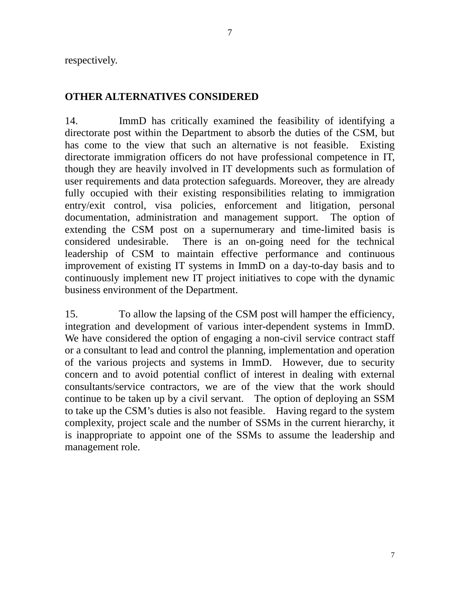respectively.

## **OTHER ALTERNATIVES CONSIDERED**

14. ImmD has critically examined the feasibility of identifying a directorate post within the Department to absorb the duties of the CSM, but has come to the view that such an alternative is not feasible. Existing directorate immigration officers do not have professional competence in IT, though they are heavily involved in IT developments such as formulation of user requirements and data protection safeguards. Moreover, they are already fully occupied with their existing responsibilities relating to immigration entry/exit control, visa policies, enforcement and litigation, personal documentation, administration and management support. The option of extending the CSM post on a supernumerary and time-limited basis is considered undesirable. There is an on-going need for the technical leadership of CSM to maintain effective performance and continuous improvement of existing IT systems in ImmD on a day-to-day basis and to continuously implement new IT project initiatives to cope with the dynamic business environment of the Department.

15. To allow the lapsing of the CSM post will hamper the efficiency, integration and development of various inter-dependent systems in ImmD. We have considered the option of engaging a non-civil service contract staff or a consultant to lead and control the planning, implementation and operation of the various projects and systems in ImmD. However, due to security concern and to avoid potential conflict of interest in dealing with external consultants/service contractors, we are of the view that the work should continue to be taken up by a civil servant. The option of deploying an SSM to take up the CSM's duties is also not feasible. Having regard to the system complexity, project scale and the number of SSMs in the current hierarchy, it is inappropriate to appoint one of the SSMs to assume the leadership and management role.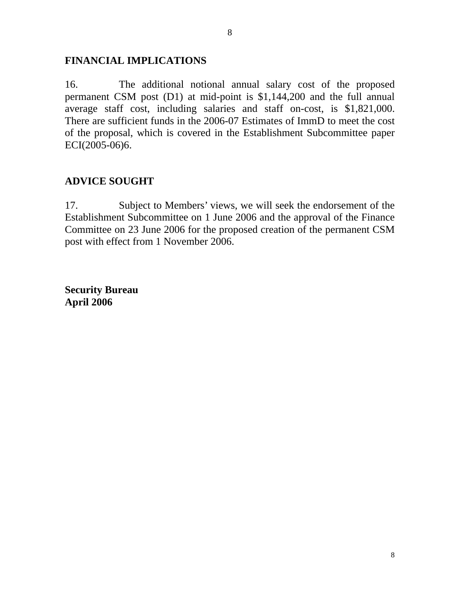## **FINANCIAL IMPLICATIONS**

16. The additional notional annual salary cost of the proposed permanent CSM post (D1) at mid-point is \$1,144,200 and the full annual average staff cost, including salaries and staff on-cost, is \$1,821,000. There are sufficient funds in the 2006-07 Estimates of ImmD to meet the cost of the proposal, which is covered in the Establishment Subcommittee paper ECI(2005-06)6.

# **ADVICE SOUGHT**

17. Subject to Members' views, we will seek the endorsement of the Establishment Subcommittee on 1 June 2006 and the approval of the Finance Committee on 23 June 2006 for the proposed creation of the permanent CSM post with effect from 1 November 2006.

**Security Bureau April 2006**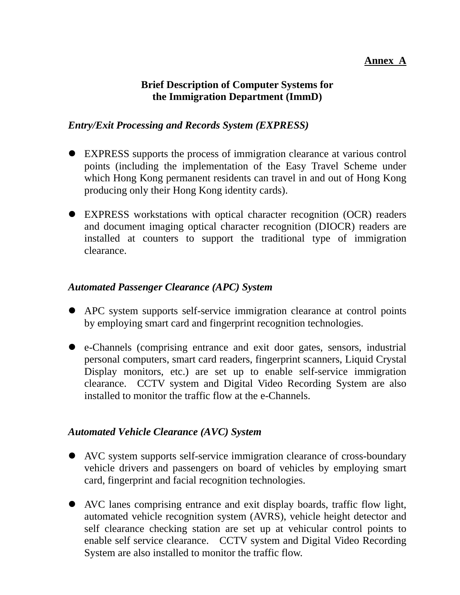## **Annex A**

# **Brief Description of Computer Systems for the Immigration Department (ImmD)**

## *Entry/Exit Processing and Records System (EXPRESS)*

- ! EXPRESS supports the process of immigration clearance at various control points (including the implementation of the Easy Travel Scheme under which Hong Kong permanent residents can travel in and out of Hong Kong producing only their Hong Kong identity cards).
- ! EXPRESS workstations with optical character recognition (OCR) readers and document imaging optical character recognition (DIOCR) readers are installed at counters to support the traditional type of immigration clearance.

## *Automated Passenger Clearance (APC) System*

- ! APC system supports self-service immigration clearance at control points by employing smart card and fingerprint recognition technologies.
- e-Channels (comprising entrance and exit door gates, sensors, industrial personal computers, smart card readers, fingerprint scanners, Liquid Crystal Display monitors, etc.) are set up to enable self-service immigration clearance. CCTV system and Digital Video Recording System are also installed to monitor the traffic flow at the e-Channels.

## *Automated Vehicle Clearance (AVC) System*

- ! AVC system supports self-service immigration clearance of cross-boundary vehicle drivers and passengers on board of vehicles by employing smart card, fingerprint and facial recognition technologies.
- ! AVC lanes comprising entrance and exit display boards, traffic flow light, automated vehicle recognition system (AVRS), vehicle height detector and self clearance checking station are set up at vehicular control points to enable self service clearance. CCTV system and Digital Video Recording System are also installed to monitor the traffic flow.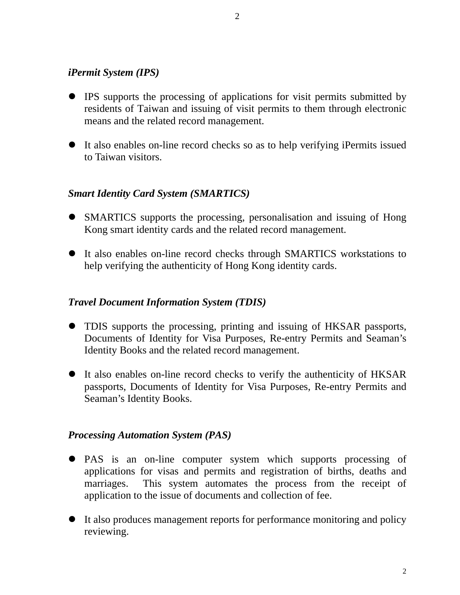## *iPermit System (IPS)*

- ! IPS supports the processing of applications for visit permits submitted by residents of Taiwan and issuing of visit permits to them through electronic means and the related record management.
- ! It also enables on-line record checks so as to help verifying iPermits issued to Taiwan visitors.

## *Smart Identity Card System (SMARTICS)*

- SMARTICS supports the processing, personalisation and issuing of Hong Kong smart identity cards and the related record management.
- ! It also enables on-line record checks through SMARTICS workstations to help verifying the authenticity of Hong Kong identity cards.

## *Travel Document Information System (TDIS)*

- TDIS supports the processing, printing and issuing of HKSAR passports, Documents of Identity for Visa Purposes, Re-entry Permits and Seaman's Identity Books and the related record management.
- It also enables on-line record checks to verify the authenticity of HKSAR passports, Documents of Identity for Visa Purposes, Re-entry Permits and Seaman's Identity Books.

## *Processing Automation System (PAS)*

- ! PAS is an on-line computer system which supports processing of applications for visas and permits and registration of births, deaths and marriages. This system automates the process from the receipt of application to the issue of documents and collection of fee.
- It also produces management reports for performance monitoring and policy reviewing.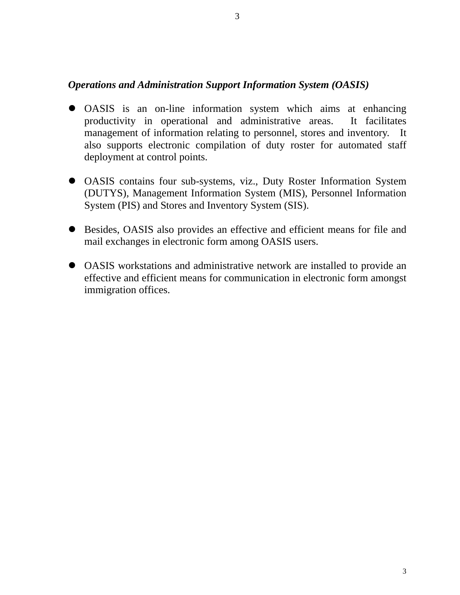## *Operations and Administration Support Information System (OASIS)*

- ! OASIS is an on-line information system which aims at enhancing productivity in operational and administrative areas. It facilitates management of information relating to personnel, stores and inventory. It also supports electronic compilation of duty roster for automated staff deployment at control points.
- ! OASIS contains four sub-systems, viz., Duty Roster Information System (DUTYS), Management Information System (MIS), Personnel Information System (PIS) and Stores and Inventory System (SIS).
- ! Besides, OASIS also provides an effective and efficient means for file and mail exchanges in electronic form among OASIS users.
- ! OASIS workstations and administrative network are installed to provide an effective and efficient means for communication in electronic form amongst immigration offices.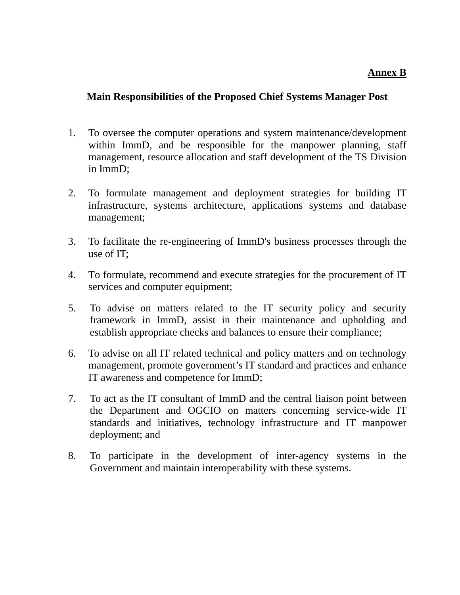## **Annex B**

## **Main Responsibilities of the Proposed Chief Systems Manager Post**

- 1. To oversee the computer operations and system maintenance/development within ImmD, and be responsible for the manpower planning, staff management, resource allocation and staff development of the TS Division in ImmD;
- 2. To formulate management and deployment strategies for building IT infrastructure, systems architecture, applications systems and database management;
- 3. To facilitate the re-engineering of ImmD's business processes through the use of IT;
- 4. To formulate, recommend and execute strategies for the procurement of IT services and computer equipment;
- 5. To advise on matters related to the IT security policy and security framework in ImmD, assist in their maintenance and upholding and establish appropriate checks and balances to ensure their compliance;
- 6. To advise on all IT related technical and policy matters and on technology management, promote government's IT standard and practices and enhance IT awareness and competence for ImmD;
- 7. To act as the IT consultant of ImmD and the central liaison point between the Department and OGCIO on matters concerning service-wide IT standards and initiatives, technology infrastructure and IT manpower deployment; and
- 8. To participate in the development of inter-agency systems in the Government and maintain interoperability with these systems.